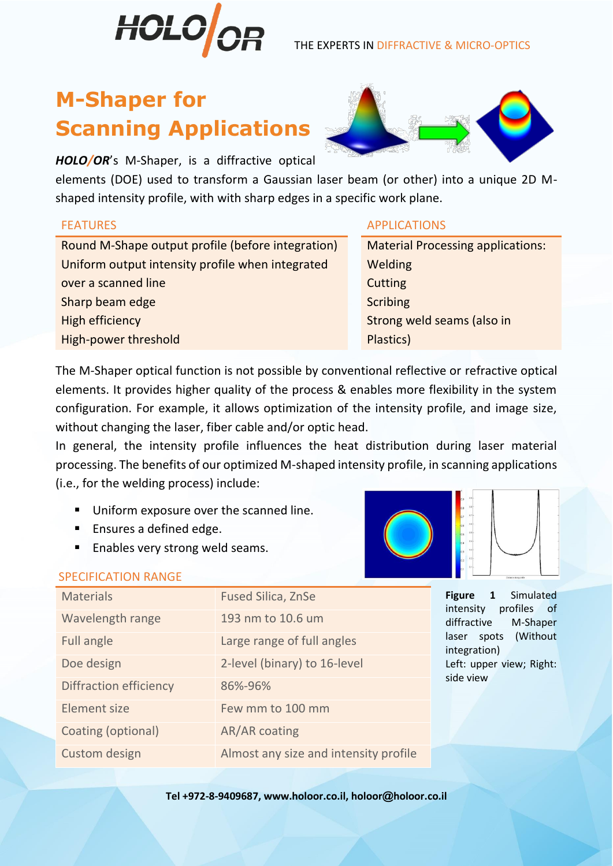

### THE EXPERTS IN DIFFRACTIVE & MICRO-OPTICS

# **M-Shaper for Scanning Applications**



*HOLO/OR*'s M-Shaper, is a diffractive optical

elements (DOE) used to transform a Gaussian laser beam (or other) into a unique 2D Mshaped intensity profile, with with sharp edges in a specific work plane.

Round M-Shape output profile (before integration) Material Processing applications: Uniform output intensity profile when integrated over a scanned line Sharp beam edge Sharp Scribing Sharp beam edge Scribing Scribing Scribing Scribing High efficiency Strong weld seams (also in High-power threshold **Plastics**)

# FEATURES APPLICATIONS

Welding Cutting

The M-Shaper optical function is not possible by conventional reflective or refractive optical elements. It provides higher quality of the process & enables more flexibility in the system configuration. For example, it allows optimization of the intensity profile, and image size, without changing the laser, fiber cable and/or optic head.

In general, the intensity profile influences the heat distribution during laser material processing. The benefits of our optimized M-shaped intensity profile, in scanning applications (i.e., for the welding process) include:

- Uniform exposure over the scanned line.
- Ensures a defined edge.
- Enables very strong weld seams.



# SPECIFICATION RANGE

| <b>Materials</b>              | <b>Fused Silica, ZnSe</b>             | Simulated<br><b>Figure</b><br>1<br>profiles of<br>intensity<br>M-Shaper<br>diffractive<br>laser spots (Without<br>integration)<br>Left: upper view; Right:<br>side view |
|-------------------------------|---------------------------------------|-------------------------------------------------------------------------------------------------------------------------------------------------------------------------|
| Wavelength range              | 193 nm to 10.6 um                     |                                                                                                                                                                         |
| Full angle                    | Large range of full angles            |                                                                                                                                                                         |
| Doe design                    | 2-level (binary) to 16-level          |                                                                                                                                                                         |
| <b>Diffraction efficiency</b> | 86%-96%                               |                                                                                                                                                                         |
| Element size                  | Few mm to 100 mm                      |                                                                                                                                                                         |
| Coating (optional)            | AR/AR coating                         |                                                                                                                                                                         |
| Custom design                 | Almost any size and intensity profile |                                                                                                                                                                         |

**Tel +972-8-9409687, www.holoor.co.il, holoor@holoor.co.il**